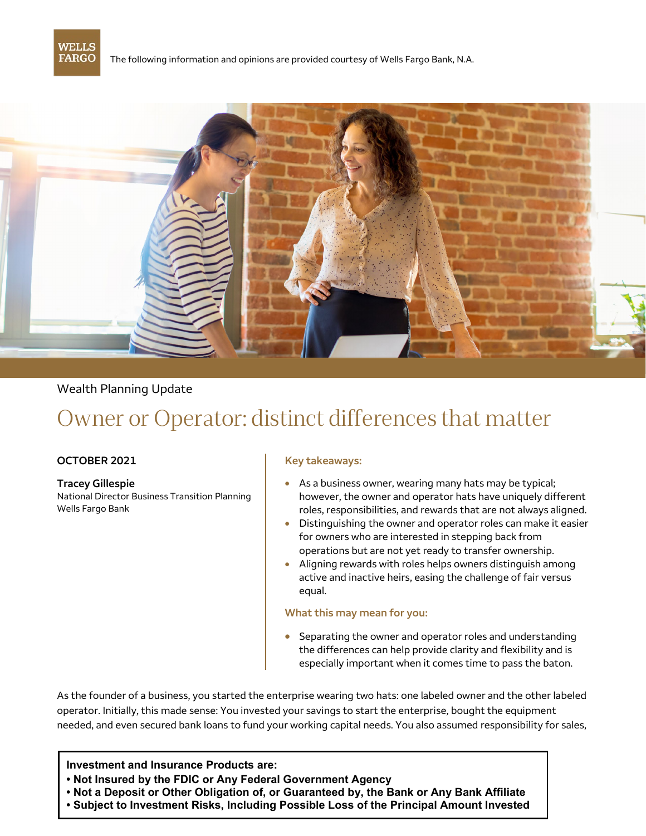

The following information and opinions are provided courtesy of Wells Fargo Bank, N.A.



## Wealth Planning Update

# Owner or Operator: distinct differences that matter

#### **OCTOBER 2021**

**Tracey Gillespie**  National Director Business Transition Planning Wells Fargo Bank

#### **Key takeaways:**

- • As a business owner, wearing many hats may be typical; however, the owner and operator hats have uniquely different roles, responsibilities, and rewards that are not always aligned.
- for owners who are interested in stepping back from operations but are not yet ready to transfer ownership. • Distinguishing the owner and operator roles can make it easier
- • Aligning rewards with roles helps owners distinguish among active and inactive heirs, easing the challenge of fair versus equal.

#### **What this may mean for you:**

• Separating the owner and operator roles and understanding the differences can help provide clarity and flexibility and is especially important when it comes time to pass the baton.

As the founder of a business, you started the enterprise wearing two hats: one labeled owner and the other labeled operator. Initially, this made sense: You invested your savings to start the enterprise, bought the equipment needed, and even secured bank loans to fund your working capital needs. You also assumed responsibility for sales,

#### **Investment and Insurance Products are:**

- **• Not Insured by the FDIC or Any Federal Government Agency**
- **• Not a Deposit or Other Obligation of, or Guaranteed by, the Bank or Any Bank Affiliate**
- **• Subject to Investment Risks, Including Possible Loss of the Principal Amount Invested**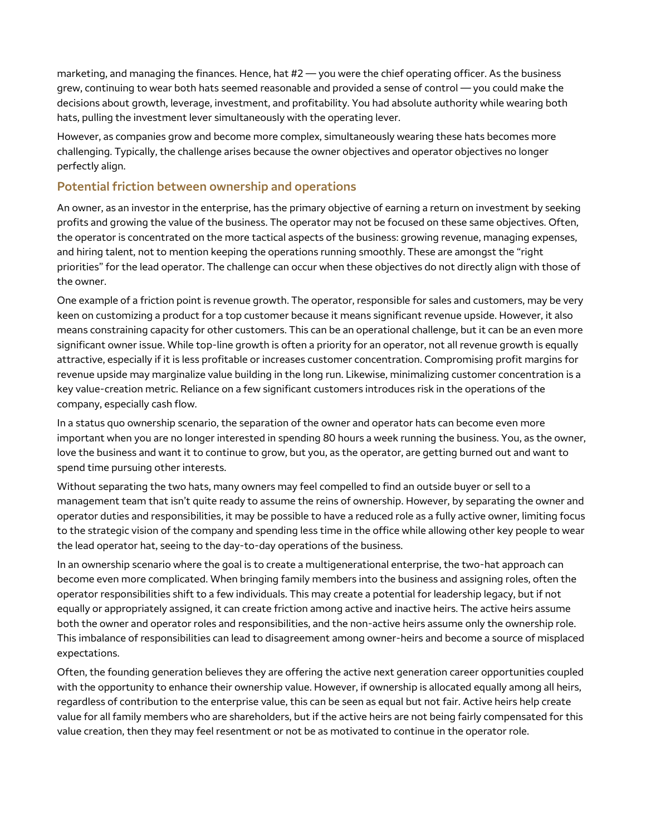marketing, and managing the finances. Hence, hat  $#2$  — you were the chief operating officer. As the business grew, continuing to wear both hats seemed reasonable and provided a sense of control — you could make the decisions about growth, leverage, investment, and profitability. You had absolute authority while wearing both hats, pulling the investment lever simultaneously with the operating lever.

However, as companies grow and become more complex, simultaneously wearing these hats becomes more challenging. Typically, the challenge arises because the owner objectives and operator objectives no longer perfectly align.

## **Potential friction between ownership and operations**

An owner, as an investor in the enterprise, has the primary objective of earning a return on investment by seeking profits and growing the value of the business. The operator may not be focused on these same objectives. Often, the operator is concentrated on the more tactical aspects of the business: growing revenue, managing expenses, and hiring talent, not to mention keeping the operations running smoothly. These are amongst the "right priorities" for the lead operator. The challenge can occur when these objectives do not directly align with those of the owner.

One example of a friction point is revenue growth. The operator, responsible for sales and customers, may be very keen on customizing a product for a top customer because it means significant revenue upside. However, it also means constraining capacity for other customers. This can be an operational challenge, but it can be an even more significant owner issue. While top-line growth is often a priority for an operator, not all revenue growth is equally attractive, especially if it is less profitable or increases customer concentration. Compromising profit margins for revenue upside may marginalize value building in the long run. Likewise, minimalizing customer concentration is a key value-creation metric. Reliance on a few significant customers introduces risk in the operations of the company, especially cash flow.

In a status quo ownership scenario, the separation of the owner and operator hats can become even more important when you are no longer interested in spending 80 hours a week running the business. You, as the owner, love the business and want it to continue to grow, but you, as the operator, are getting burned out and want to spend time pursuing other interests.

Without separating the two hats, many owners may feel compelled to find an outside buyer or sell to a management team that isn't quite ready to assume the reins of ownership. However, by separating the owner and operator duties and responsibilities, it may be possible to have a reduced role as a fully active owner, limiting focus to the strategic vision of the company and spending less time in the office while allowing other key people to wear the lead operator hat, seeing to the day-to-day operations of the business.

In an ownership scenario where the goal is to create a multigenerational enterprise, the two-hat approach can become even more complicated. When bringing family members into the business and assigning roles, often the operator responsibilities shift to a few individuals. This may create a potential for leadership legacy, but if not equally or appropriately assigned, it can create friction among active and inactive heirs. The active heirs assume both the owner and operator roles and responsibilities, and the non-active heirs assume only the ownership role. This imbalance of responsibilities can lead to disagreement among owner-heirs and become a source of misplaced expectations.

Often, the founding generation believes they are offering the active next generation career opportunities coupled with the opportunity to enhance their ownership value. However, if ownership is allocated equally among all heirs, regardless of contribution to the enterprise value, this can be seen as equal but not fair. Active heirs help create value for all family members who are shareholders, but if the active heirs are not being fairly compensated for this value creation, then they may feel resentment or not be as motivated to continue in the operator role.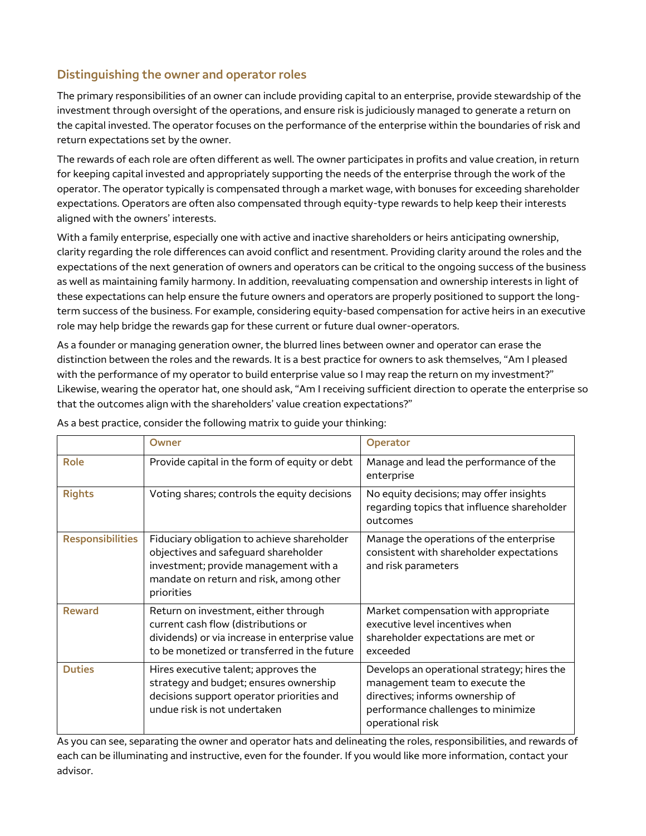# **Distinguishing the owner and operator roles**

The primary responsibilities of an owner can include providing capital to an enterprise, provide stewardship of the investment through oversight of the operations, and ensure risk is judiciously managed to generate a return on the capital invested. The operator focuses on the performance of the enterprise within the boundaries of risk and return expectations set by the owner.

The rewards of each role are often different as well. The owner participates in profits and value creation, in return for keeping capital invested and appropriately supporting the needs of the enterprise through the work of the operator. The operator typically is compensated through a market wage, with bonuses for exceeding shareholder expectations. Operators are often also compensated through equity-type rewards to help keep their interests aligned with the owners' interests.

With a family enterprise, especially one with active and inactive shareholders or heirs anticipating ownership, clarity regarding the role differences can avoid conflict and resentment. Providing clarity around the roles and the expectations of the next generation of owners and operators can be critical to the ongoing success of the business as well as maintaining family harmony. In addition, reevaluating compensation and ownership interests in light of these expectations can help ensure the future owners and operators are properly positioned to support the longterm success of the business. For example, considering equity-based compensation for active heirs in an executive role may help bridge the rewards gap for these current or future dual owner-operators.

As a founder or managing generation owner, the blurred lines between owner and operator can erase the distinction between the roles and the rewards. It is a best practice for owners to ask themselves, "Am I pleased with the performance of my operator to build enterprise value so I may reap the return on my investment?" Likewise, wearing the operator hat, one should ask, "Am I receiving sufficient direction to operate the enterprise so that the outcomes align with the shareholders' value creation expectations?"

|                         | Owner                                                                                                                                                                                 | <b>Operator</b>                                                                                                                                                             |
|-------------------------|---------------------------------------------------------------------------------------------------------------------------------------------------------------------------------------|-----------------------------------------------------------------------------------------------------------------------------------------------------------------------------|
| Role                    | Provide capital in the form of equity or debt                                                                                                                                         | Manage and lead the performance of the<br>enterprise                                                                                                                        |
| <b>Rights</b>           | Voting shares; controls the equity decisions                                                                                                                                          | No equity decisions; may offer insights<br>regarding topics that influence shareholder<br>outcomes                                                                          |
| <b>Responsibilities</b> | Fiduciary obligation to achieve shareholder<br>objectives and safeguard shareholder<br>investment; provide management with a<br>mandate on return and risk, among other<br>priorities | Manage the operations of the enterprise<br>consistent with shareholder expectations<br>and risk parameters                                                                  |
| <b>Reward</b>           | Return on investment, either through<br>current cash flow (distributions or<br>dividends) or via increase in enterprise value<br>to be monetized or transferred in the future         | Market compensation with appropriate<br>executive level incentives when<br>shareholder expectations are met or<br>exceeded                                                  |
| <b>Duties</b>           | Hires executive talent; approves the<br>strategy and budget; ensures ownership<br>decisions support operator priorities and<br>undue risk is not undertaken                           | Develops an operational strategy; hires the<br>management team to execute the<br>directives; informs ownership of<br>performance challenges to minimize<br>operational risk |

As a best practice, consider the following matrix to guide your thinking:

 As you can see, separating the owner and operator hats and delineating the roles, responsibilities, and rewards of each can be illuminating and instructive, even for the founder. If you would like more information, contact your advisor.